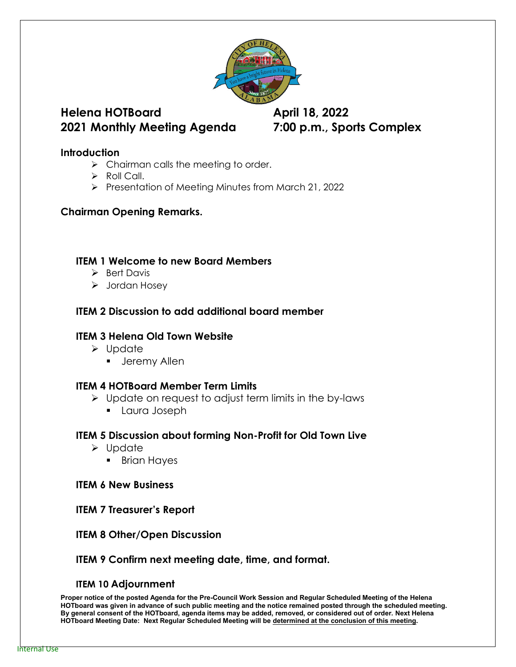

# **Helena HOTBoard April 18, 2022 2021 Monthly Meeting Agenda 7:00 p.m., Sports Complex**

#### **Introduction**

- $\triangleright$  Chairman calls the meeting to order.
- $\triangleright$  Roll Call.
- $\triangleright$  Presentation of Meeting Minutes from March 21, 2022

### **Chairman Opening Remarks.**

#### **ITEM 1 Welcome to new Board Members**

- $\triangleright$  Bert Davis
- > Jordan Hosey

## **ITEM 2 Discussion to add additional board member**

### **ITEM 3 Helena Old Town Website**

- $\triangleright$  Update
	- **Jeremy Allen**

### **ITEM 4 HOTBoard Member Term Limits**

- $\triangleright$  Update on request to adjust term limits in the by-laws
	- Laura Joseph

#### **ITEM 5 Discussion about forming Non-Profit for Old Town Live**

- Update
	- **Brian Haves**

#### **ITEM 6 New Business**

**ITEM 7 Treasurer's Report**

### **ITEM 8 Other/Open Discussion**

### **ITEM 9 Confirm next meeting date, time, and format.**

#### **ITEM 10 Adjournment**

**Proper notice of the posted Agenda for the Pre-Council Work Session and Regular Scheduled Meeting of the Helena HOTboard was given in advance of such public meeting and the notice remained posted through the scheduled meeting. By general consent of the HOTboard, agenda items may be added, removed, or considered out of order. Next Helena HOTboard Meeting Date: Next Regular Scheduled Meeting will be determined at the conclusion of this meeting.**